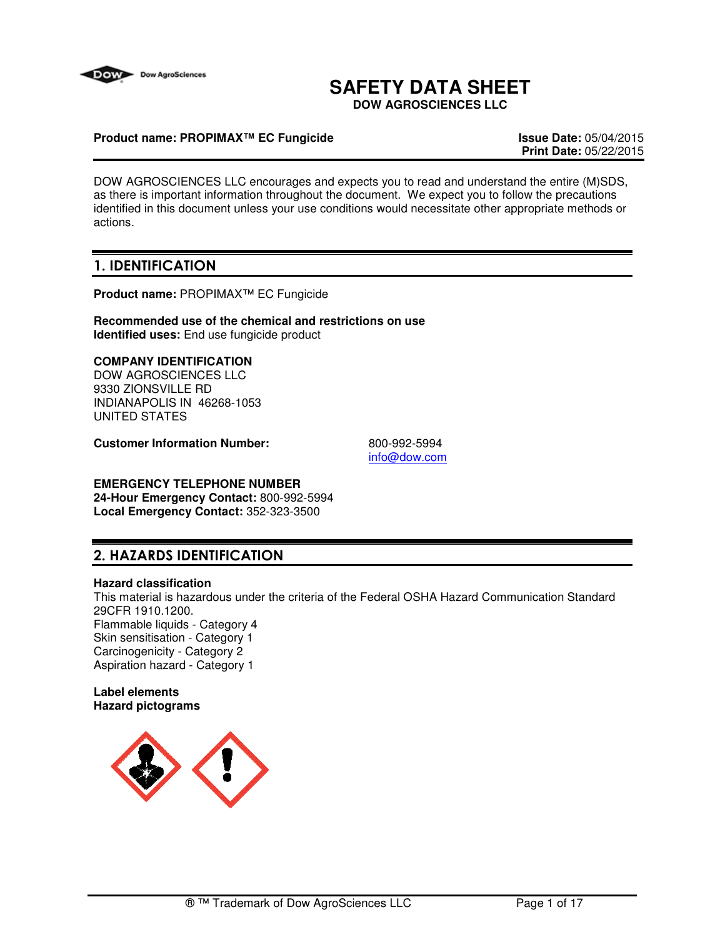

# **SAFETY DATA SHEET**

**DOW AGROSCIENCES LLC**

# **Product name: PROPIMAX™ EC Fungicide Issue Date:** 05/04/2015

**Print Date:** 05/22/2015

DOW AGROSCIENCES LLC encourages and expects you to read and understand the entire (M)SDS, as there is important information throughout the document. We expect you to follow the precautions identified in this document unless your use conditions would necessitate other appropriate methods or actions.

# 1. IDENTIFICATION

**Product name:** PROPIMAX™ EC Fungicide

**Recommended use of the chemical and restrictions on use Identified uses:** End use fungicide product

# **COMPANY IDENTIFICATION**

DOW AGROSCIENCES LLC 9330 ZIONSVILLE RD INDIANAPOLIS IN 46268-1053 UNITED STATES

**Customer Information Number:** 800-992-5994

info@dow.com

#### **EMERGENCY TELEPHONE NUMBER 24-Hour Emergency Contact:** 800-992-5994 **Local Emergency Contact:** 352-323-3500

# 2. HAZARDS IDENTIFICATION

#### **Hazard classification**

This material is hazardous under the criteria of the Federal OSHA Hazard Communication Standard 29CFR 1910.1200. Flammable liquids - Category 4 Skin sensitisation - Category 1 Carcinogenicity - Category 2 Aspiration hazard - Category 1

#### **Label elements Hazard pictograms**

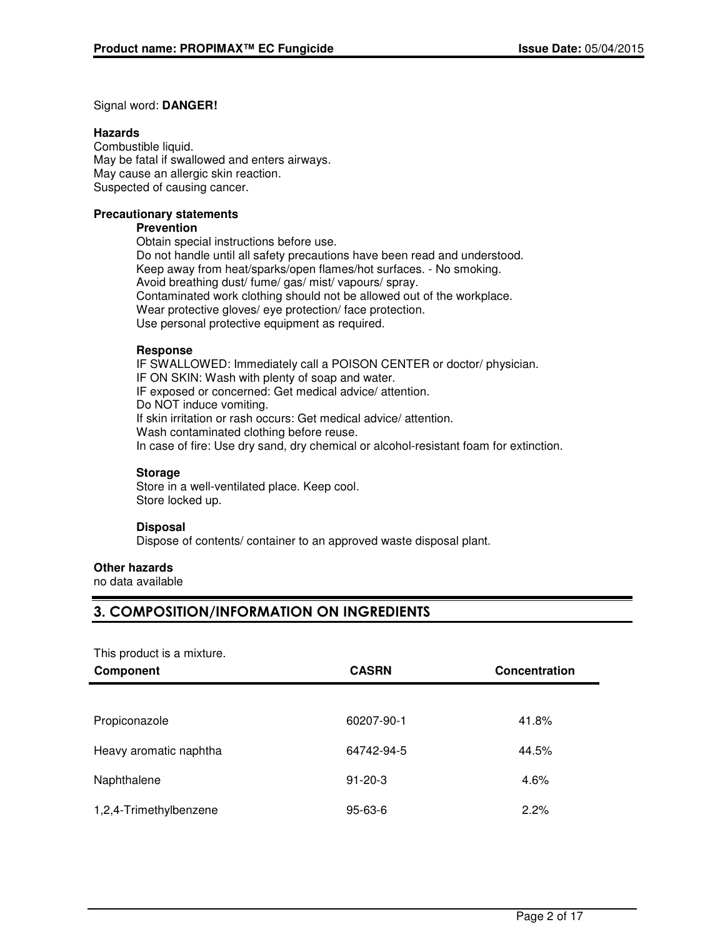## Signal word: **DANGER!**

## **Hazards**

Combustible liquid. May be fatal if swallowed and enters airways. May cause an allergic skin reaction. Suspected of causing cancer.

## **Precautionary statements**

#### **Prevention**

Obtain special instructions before use. Do not handle until all safety precautions have been read and understood. Keep away from heat/sparks/open flames/hot surfaces. - No smoking. Avoid breathing dust/ fume/ gas/ mist/ vapours/ spray. Contaminated work clothing should not be allowed out of the workplace. Wear protective gloves/ eye protection/ face protection. Use personal protective equipment as required.

## **Response**

IF SWALLOWED: Immediately call a POISON CENTER or doctor/ physician. IF ON SKIN: Wash with plenty of soap and water. IF exposed or concerned: Get medical advice/ attention. Do NOT induce vomiting. If skin irritation or rash occurs: Get medical advice/ attention. Wash contaminated clothing before reuse. In case of fire: Use dry sand, dry chemical or alcohol-resistant foam for extinction.

# **Storage**

Store in a well-ventilated place. Keep cool. Store locked up.

# **Disposal**

Dispose of contents/ container to an approved waste disposal plant.

# **Other hazards**

no data available

# 3. COMPOSITION/INFORMATION ON INGREDIENTS

This product is a mixture.

| <b>Component</b>       | <b>CASRN</b>  | <b>Concentration</b> |
|------------------------|---------------|----------------------|
|                        |               |                      |
| Propiconazole          | 60207-90-1    | 41.8%                |
| Heavy aromatic naphtha | 64742-94-5    | 44.5%                |
| Naphthalene            | $91 - 20 - 3$ | 4.6%                 |
| 1,2,4-Trimethylbenzene | $95 - 63 - 6$ | 2.2%                 |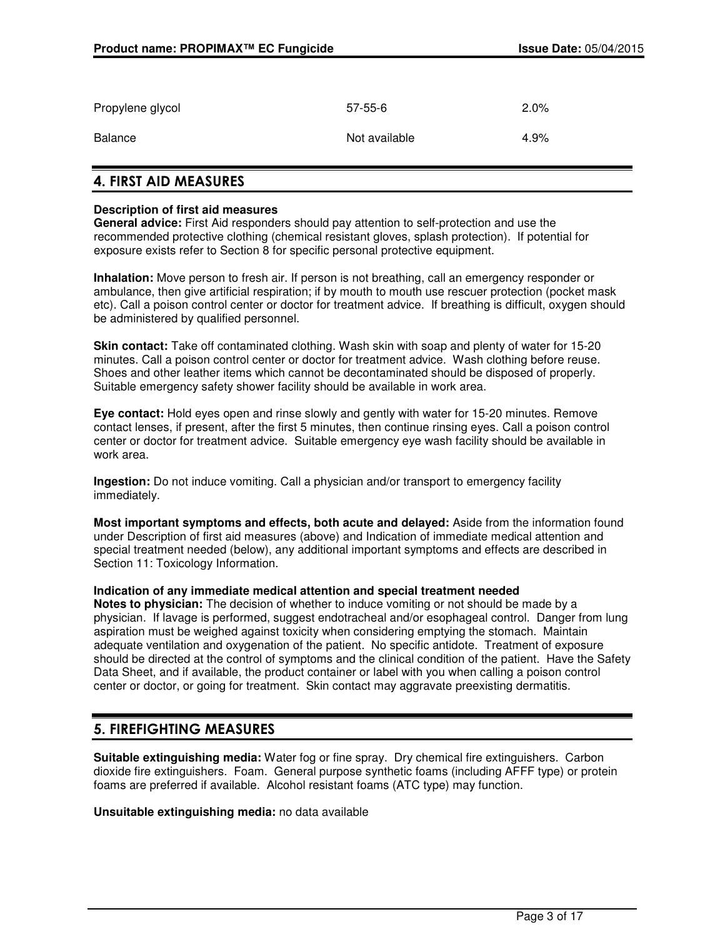| Propylene glycol | $57 - 55 - 6$ | 2.0% |
|------------------|---------------|------|
| Balance          | Not available | 4.9% |

# 4. FIRST AID MEASURES

# **Description of first aid measures**

**General advice:** First Aid responders should pay attention to self-protection and use the recommended protective clothing (chemical resistant gloves, splash protection). If potential for exposure exists refer to Section 8 for specific personal protective equipment.

**Inhalation:** Move person to fresh air. If person is not breathing, call an emergency responder or ambulance, then give artificial respiration; if by mouth to mouth use rescuer protection (pocket mask etc). Call a poison control center or doctor for treatment advice. If breathing is difficult, oxygen should be administered by qualified personnel.

**Skin contact:** Take off contaminated clothing. Wash skin with soap and plenty of water for 15-20 minutes. Call a poison control center or doctor for treatment advice. Wash clothing before reuse. Shoes and other leather items which cannot be decontaminated should be disposed of properly. Suitable emergency safety shower facility should be available in work area.

**Eye contact:** Hold eyes open and rinse slowly and gently with water for 15-20 minutes. Remove contact lenses, if present, after the first 5 minutes, then continue rinsing eyes. Call a poison control center or doctor for treatment advice. Suitable emergency eye wash facility should be available in work area.

**Ingestion:** Do not induce vomiting. Call a physician and/or transport to emergency facility immediately.

**Most important symptoms and effects, both acute and delayed:** Aside from the information found under Description of first aid measures (above) and Indication of immediate medical attention and special treatment needed (below), any additional important symptoms and effects are described in Section 11: Toxicology Information.

#### **Indication of any immediate medical attention and special treatment needed**

**Notes to physician:** The decision of whether to induce vomiting or not should be made by a physician. If lavage is performed, suggest endotracheal and/or esophageal control. Danger from lung aspiration must be weighed against toxicity when considering emptying the stomach. Maintain adequate ventilation and oxygenation of the patient. No specific antidote. Treatment of exposure should be directed at the control of symptoms and the clinical condition of the patient. Have the Safety Data Sheet, and if available, the product container or label with you when calling a poison control center or doctor, or going for treatment. Skin contact may aggravate preexisting dermatitis.

# 5. FIREFIGHTING MEASURES

**Suitable extinguishing media:** Water fog or fine spray. Dry chemical fire extinguishers. Carbon dioxide fire extinguishers. Foam. General purpose synthetic foams (including AFFF type) or protein foams are preferred if available. Alcohol resistant foams (ATC type) may function.

**Unsuitable extinguishing media:** no data available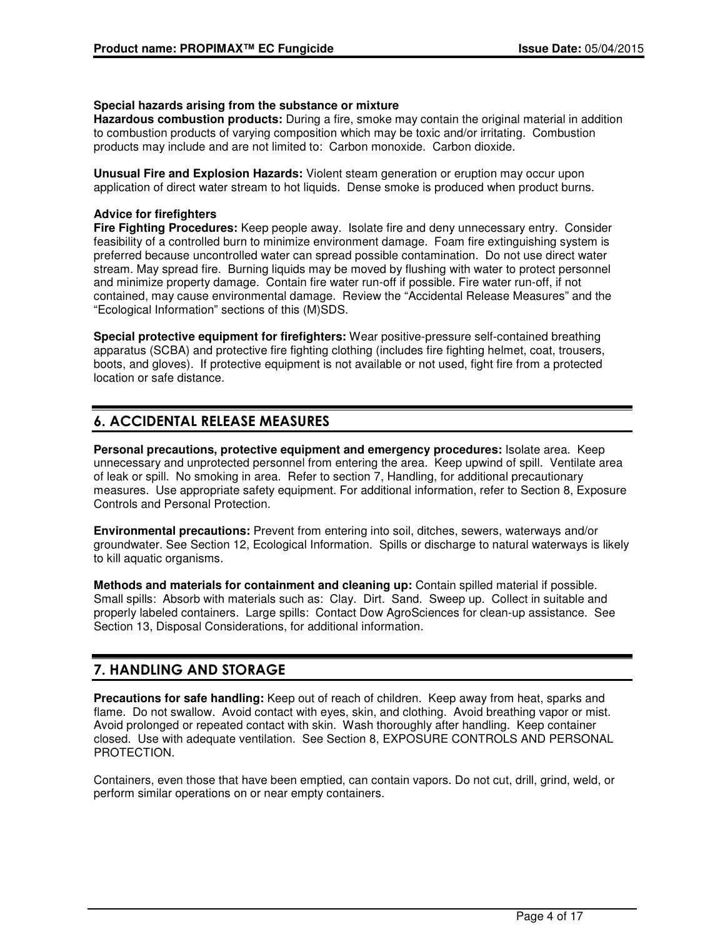#### **Special hazards arising from the substance or mixture**

**Hazardous combustion products:** During a fire, smoke may contain the original material in addition to combustion products of varying composition which may be toxic and/or irritating. Combustion products may include and are not limited to: Carbon monoxide. Carbon dioxide.

**Unusual Fire and Explosion Hazards:** Violent steam generation or eruption may occur upon application of direct water stream to hot liquids. Dense smoke is produced when product burns.

### **Advice for firefighters**

**Fire Fighting Procedures:** Keep people away. Isolate fire and deny unnecessary entry. Consider feasibility of a controlled burn to minimize environment damage. Foam fire extinguishing system is preferred because uncontrolled water can spread possible contamination. Do not use direct water stream. May spread fire. Burning liquids may be moved by flushing with water to protect personnel and minimize property damage. Contain fire water run-off if possible. Fire water run-off, if not contained, may cause environmental damage. Review the "Accidental Release Measures" and the "Ecological Information" sections of this (M)SDS.

**Special protective equipment for firefighters:** Wear positive-pressure self-contained breathing apparatus (SCBA) and protective fire fighting clothing (includes fire fighting helmet, coat, trousers, boots, and gloves). If protective equipment is not available or not used, fight fire from a protected location or safe distance.

# 6. ACCIDENTAL RELEASE MEASURES

**Personal precautions, protective equipment and emergency procedures:** Isolate area. Keep unnecessary and unprotected personnel from entering the area. Keep upwind of spill. Ventilate area of leak or spill. No smoking in area. Refer to section 7, Handling, for additional precautionary measures. Use appropriate safety equipment. For additional information, refer to Section 8, Exposure Controls and Personal Protection.

**Environmental precautions:** Prevent from entering into soil, ditches, sewers, waterways and/or groundwater. See Section 12, Ecological Information. Spills or discharge to natural waterways is likely to kill aquatic organisms.

**Methods and materials for containment and cleaning up:** Contain spilled material if possible. Small spills: Absorb with materials such as: Clay. Dirt. Sand. Sweep up. Collect in suitable and properly labeled containers. Large spills: Contact Dow AgroSciences for clean-up assistance. See Section 13, Disposal Considerations, for additional information.

# 7. HANDLING AND STORAGE

**Precautions for safe handling:** Keep out of reach of children. Keep away from heat, sparks and flame. Do not swallow. Avoid contact with eyes, skin, and clothing. Avoid breathing vapor or mist. Avoid prolonged or repeated contact with skin. Wash thoroughly after handling. Keep container closed. Use with adequate ventilation. See Section 8, EXPOSURE CONTROLS AND PERSONAL PROTECTION.

Containers, even those that have been emptied, can contain vapors. Do not cut, drill, grind, weld, or perform similar operations on or near empty containers.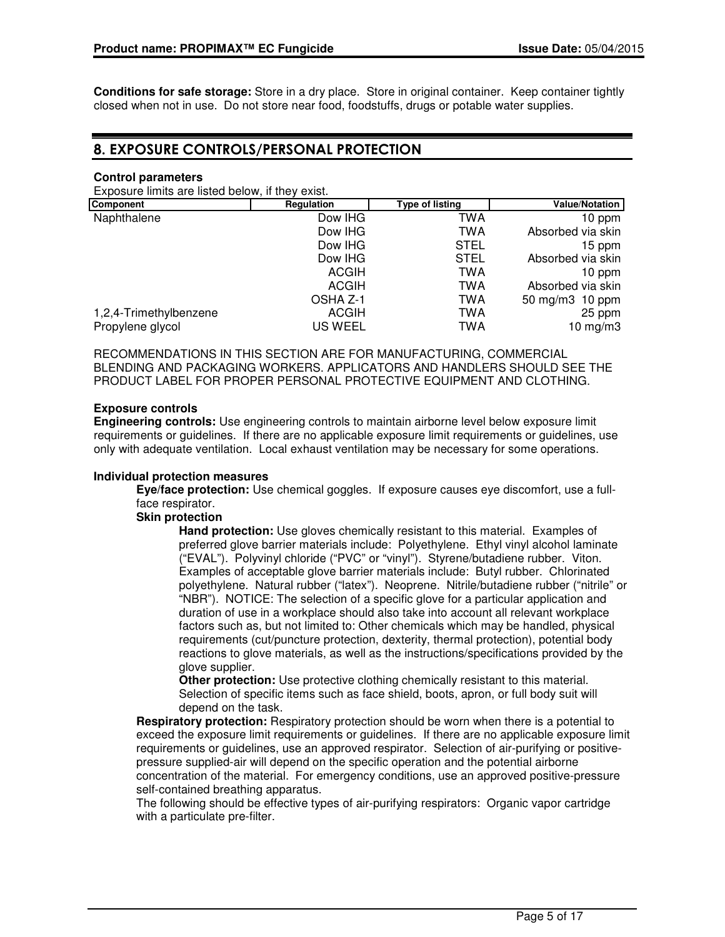**Conditions for safe storage:** Store in a dry place. Store in original container. Keep container tightly closed when not in use. Do not store near food, foodstuffs, drugs or potable water supplies.

# 8. EXPOSURE CONTROLS/PERSONAL PROTECTION

# **Control parameters**

Exposure limits are listed below, if they exist.

| Component              | Regulation   | <b>Type of listing</b> | <b>Value/Notation</b> |
|------------------------|--------------|------------------------|-----------------------|
| Naphthalene            | Dow IHG      | TWA                    | 10 ppm                |
|                        | Dow IHG      | TWA                    | Absorbed via skin     |
|                        | Dow IHG      | <b>STEL</b>            | 15 ppm                |
|                        | Dow IHG      | <b>STEL</b>            | Absorbed via skin     |
|                        | <b>ACGIH</b> | TWA                    | 10 ppm                |
|                        | ACGIH        | TWA                    | Absorbed via skin     |
|                        | OSHA Z-1     | TWA                    | 50 mg/m3 10 ppm       |
| 1,2,4-Trimethylbenzene | <b>ACGIH</b> | TWA                    | 25 ppm                |
| Propylene glycol       | US WEEL      | TWA                    | 10 mg/m $3$           |

RECOMMENDATIONS IN THIS SECTION ARE FOR MANUFACTURING, COMMERCIAL BLENDING AND PACKAGING WORKERS. APPLICATORS AND HANDLERS SHOULD SEE THE PRODUCT LABEL FOR PROPER PERSONAL PROTECTIVE EQUIPMENT AND CLOTHING.

## **Exposure controls**

**Engineering controls:** Use engineering controls to maintain airborne level below exposure limit requirements or guidelines. If there are no applicable exposure limit requirements or guidelines, use only with adequate ventilation. Local exhaust ventilation may be necessary for some operations.

#### **Individual protection measures**

**Eye/face protection:** Use chemical goggles. If exposure causes eye discomfort, use a fullface respirator.

## **Skin protection**

**Hand protection:** Use gloves chemically resistant to this material. Examples of preferred glove barrier materials include: Polyethylene. Ethyl vinyl alcohol laminate ("EVAL"). Polyvinyl chloride ("PVC" or "vinyl"). Styrene/butadiene rubber. Viton. Examples of acceptable glove barrier materials include: Butyl rubber. Chlorinated polyethylene. Natural rubber ("latex"). Neoprene. Nitrile/butadiene rubber ("nitrile" or "NBR"). NOTICE: The selection of a specific glove for a particular application and duration of use in a workplace should also take into account all relevant workplace factors such as, but not limited to: Other chemicals which may be handled, physical requirements (cut/puncture protection, dexterity, thermal protection), potential body reactions to glove materials, as well as the instructions/specifications provided by the glove supplier.

**Other protection:** Use protective clothing chemically resistant to this material. Selection of specific items such as face shield, boots, apron, or full body suit will depend on the task.

**Respiratory protection:** Respiratory protection should be worn when there is a potential to exceed the exposure limit requirements or guidelines. If there are no applicable exposure limit requirements or guidelines, use an approved respirator. Selection of air-purifying or positivepressure supplied-air will depend on the specific operation and the potential airborne concentration of the material. For emergency conditions, use an approved positive-pressure self-contained breathing apparatus.

The following should be effective types of air-purifying respirators: Organic vapor cartridge with a particulate pre-filter.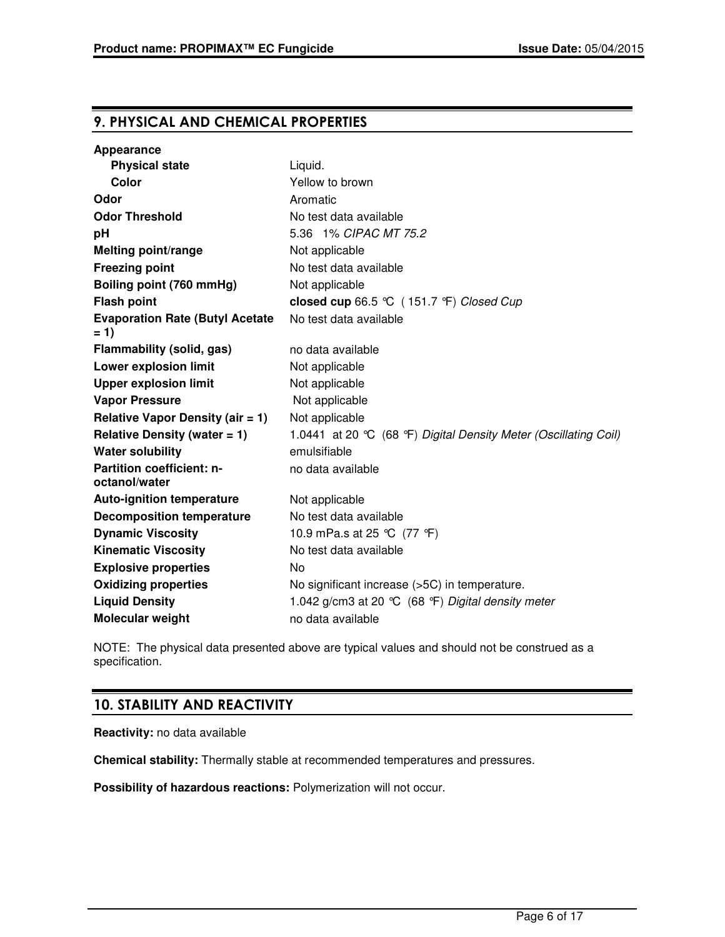# 9. PHYSICAL AND CHEMICAL PROPERTIES

| Appearance                                        |                                                                  |
|---------------------------------------------------|------------------------------------------------------------------|
| <b>Physical state</b>                             | Liquid.                                                          |
| Color                                             | Yellow to brown                                                  |
| Odor                                              | Aromatic                                                         |
| <b>Odor Threshold</b>                             | No test data available                                           |
| рH                                                | 5.36 1% CIPAC MT 75.2                                            |
| <b>Melting point/range</b>                        | Not applicable                                                   |
| <b>Freezing point</b>                             | No test data available                                           |
| Boiling point (760 mmHg)                          | Not applicable                                                   |
| <b>Flash point</b>                                | closed cup 66.5 °C (151.7 °F) Closed Cup                         |
| <b>Evaporation Rate (Butyl Acetate</b><br>= 1)    | No test data available                                           |
| Flammability (solid, gas)                         | no data available                                                |
| Lower explosion limit                             | Not applicable                                                   |
| <b>Upper explosion limit</b>                      | Not applicable                                                   |
| <b>Vapor Pressure</b>                             | Not applicable                                                   |
| <b>Relative Vapor Density (air = 1)</b>           | Not applicable                                                   |
| Relative Density (water $= 1$ )                   | 1.0441 at 20 °C (68 °F) Digital Density Meter (Oscillating Coil) |
| <b>Water solubility</b>                           | emulsifiable                                                     |
| <b>Partition coefficient: n-</b><br>octanol/water | no data available                                                |
| <b>Auto-ignition temperature</b>                  | Not applicable                                                   |
| <b>Decomposition temperature</b>                  | No test data available                                           |
| <b>Dynamic Viscosity</b>                          | 10.9 mPa.s at 25 ℃ (77 °F)                                       |
| <b>Kinematic Viscosity</b>                        | No test data available                                           |
| <b>Explosive properties</b>                       | <b>No</b>                                                        |
| <b>Oxidizing properties</b>                       | No significant increase (>5C) in temperature.                    |
| <b>Liquid Density</b>                             | 1.042 g/cm3 at 20 °C (68 °F) Digital density meter               |
| Molecular weight                                  | no data available                                                |

NOTE: The physical data presented above are typical values and should not be construed as a specification.

# 10. STABILITY AND REACTIVITY

**Reactivity:** no data available

**Chemical stability:** Thermally stable at recommended temperatures and pressures.

**Possibility of hazardous reactions:** Polymerization will not occur.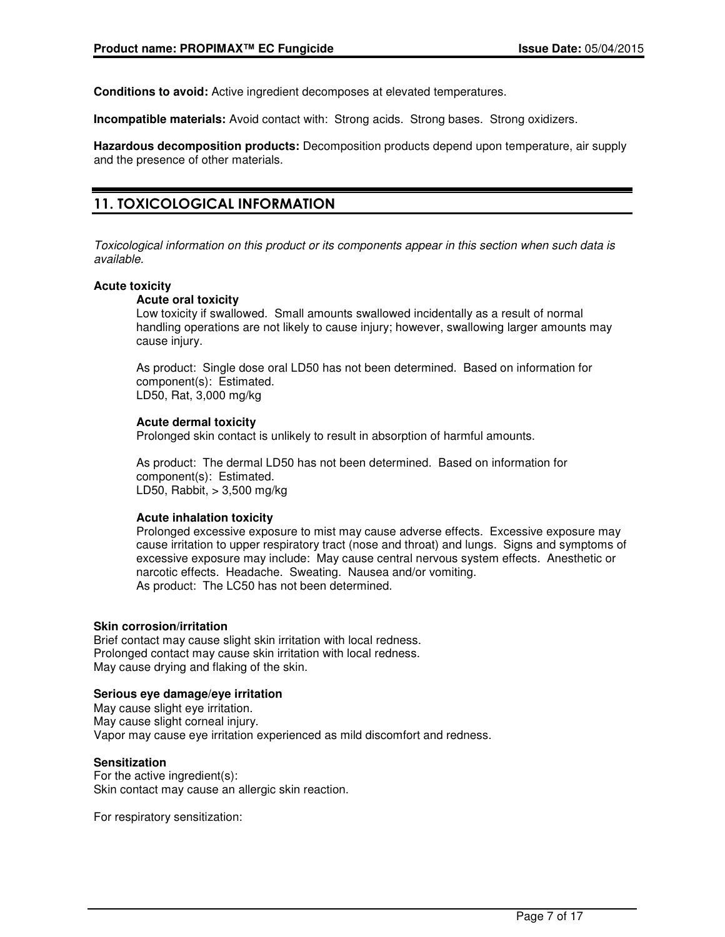**Conditions to avoid:** Active ingredient decomposes at elevated temperatures.

**Incompatible materials:** Avoid contact with: Strong acids. Strong bases. Strong oxidizers.

**Hazardous decomposition products:** Decomposition products depend upon temperature, air supply and the presence of other materials.

# 11. TOXICOLOGICAL INFORMATION

Toxicological information on this product or its components appear in this section when such data is available.

#### **Acute toxicity**

#### **Acute oral toxicity**

Low toxicity if swallowed. Small amounts swallowed incidentally as a result of normal handling operations are not likely to cause injury; however, swallowing larger amounts may cause injury.

As product: Single dose oral LD50 has not been determined. Based on information for component(s): Estimated. LD50, Rat, 3,000 mg/kg

#### **Acute dermal toxicity**

Prolonged skin contact is unlikely to result in absorption of harmful amounts.

As product: The dermal LD50 has not been determined. Based on information for component(s): Estimated. LD50, Rabbit, > 3,500 mg/kg

#### **Acute inhalation toxicity**

Prolonged excessive exposure to mist may cause adverse effects. Excessive exposure may cause irritation to upper respiratory tract (nose and throat) and lungs. Signs and symptoms of excessive exposure may include: May cause central nervous system effects. Anesthetic or narcotic effects. Headache. Sweating. Nausea and/or vomiting. As product: The LC50 has not been determined.

#### **Skin corrosion/irritation**

Brief contact may cause slight skin irritation with local redness. Prolonged contact may cause skin irritation with local redness. May cause drying and flaking of the skin.

## **Serious eye damage/eye irritation**

May cause slight eye irritation. May cause slight corneal injury. Vapor may cause eye irritation experienced as mild discomfort and redness.

#### **Sensitization**

For the active ingredient(s): Skin contact may cause an allergic skin reaction.

For respiratory sensitization: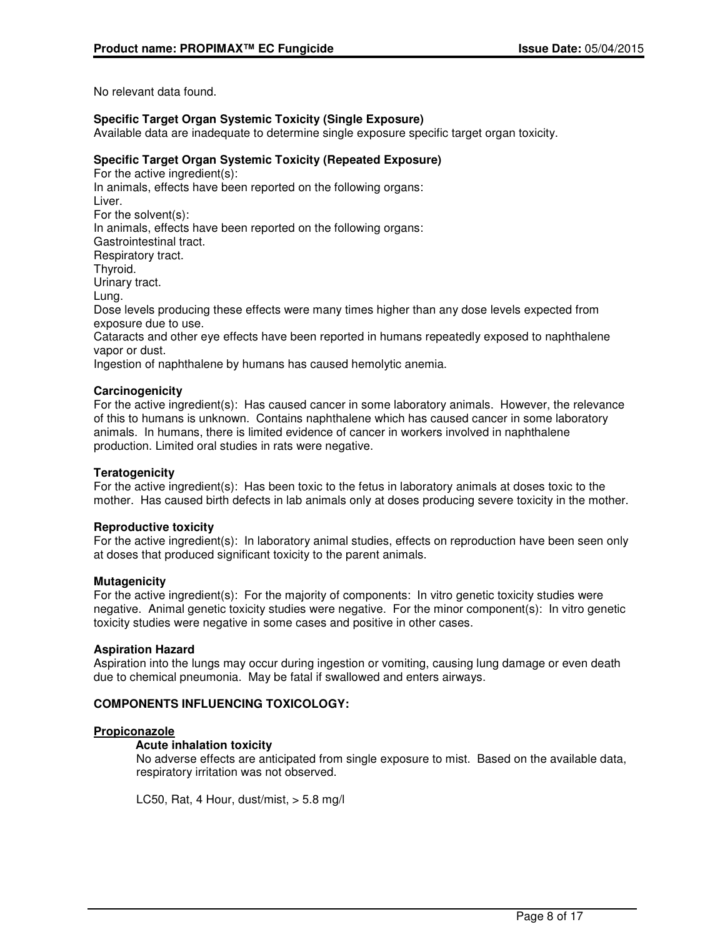No relevant data found.

## **Specific Target Organ Systemic Toxicity (Single Exposure)**

Available data are inadequate to determine single exposure specific target organ toxicity.

# **Specific Target Organ Systemic Toxicity (Repeated Exposure)**

For the active ingredient(s): In animals, effects have been reported on the following organs: Liver. For the solvent(s): In animals, effects have been reported on the following organs: Gastrointestinal tract. Respiratory tract. Thyroid. Urinary tract. Lung. Dose levels producing these effects were many times higher than any dose levels expected from exposure due to use. Cataracts and other eye effects have been reported in humans repeatedly exposed to naphthalene vapor or dust. Ingestion of naphthalene by humans has caused hemolytic anemia.

#### **Carcinogenicity**

For the active ingredient(s): Has caused cancer in some laboratory animals. However, the relevance of this to humans is unknown. Contains naphthalene which has caused cancer in some laboratory animals. In humans, there is limited evidence of cancer in workers involved in naphthalene production. Limited oral studies in rats were negative.

### **Teratogenicity**

For the active ingredient(s): Has been toxic to the fetus in laboratory animals at doses toxic to the mother. Has caused birth defects in lab animals only at doses producing severe toxicity in the mother.

#### **Reproductive toxicity**

For the active ingredient(s): In laboratory animal studies, effects on reproduction have been seen only at doses that produced significant toxicity to the parent animals.

### **Mutagenicity**

For the active ingredient(s): For the majority of components: In vitro genetic toxicity studies were negative. Animal genetic toxicity studies were negative. For the minor component(s): In vitro genetic toxicity studies were negative in some cases and positive in other cases.

#### **Aspiration Hazard**

Aspiration into the lungs may occur during ingestion or vomiting, causing lung damage or even death due to chemical pneumonia. May be fatal if swallowed and enters airways.

# **COMPONENTS INFLUENCING TOXICOLOGY:**

#### **Propiconazole**

#### **Acute inhalation toxicity**

No adverse effects are anticipated from single exposure to mist. Based on the available data, respiratory irritation was not observed.

LC50, Rat, 4 Hour, dust/mist,  $>$  5.8 mg/l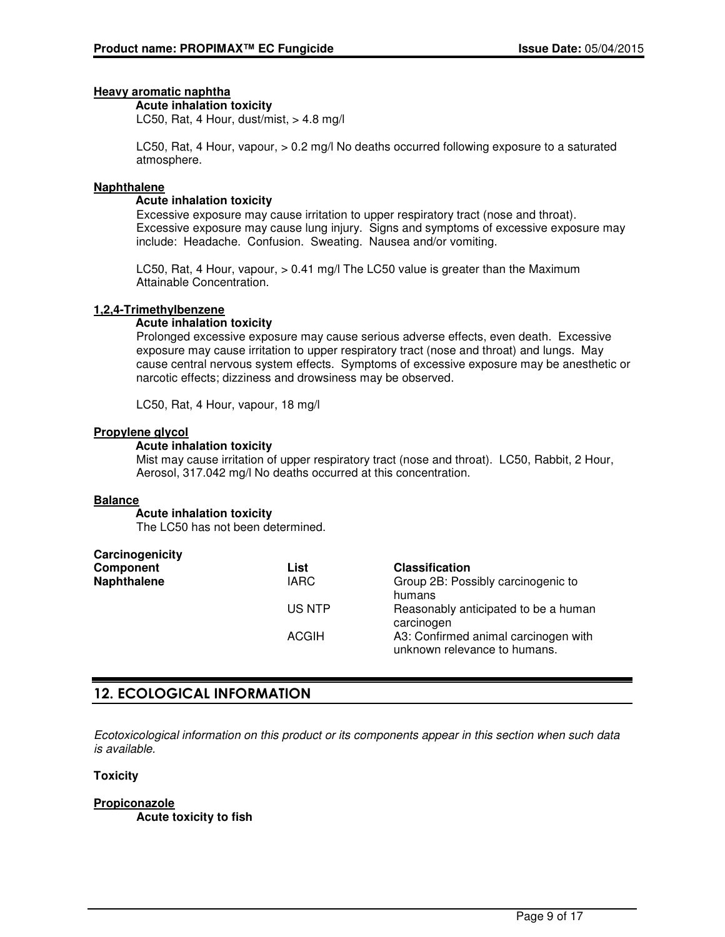# **Heavy aromatic naphtha**

#### **Acute inhalation toxicity**

LC50, Rat, 4 Hour, dust/mist,  $> 4.8$  mg/l

LC50, Rat, 4 Hour, vapour, > 0.2 mg/l No deaths occurred following exposure to a saturated atmosphere.

#### **Naphthalene**

#### **Acute inhalation toxicity**

Excessive exposure may cause irritation to upper respiratory tract (nose and throat). Excessive exposure may cause lung injury. Signs and symptoms of excessive exposure may include: Headache. Confusion. Sweating. Nausea and/or vomiting.

LC50, Rat, 4 Hour, vapour, > 0.41 mg/l The LC50 value is greater than the Maximum Attainable Concentration.

#### **1,2,4-Trimethylbenzene**

#### **Acute inhalation toxicity**

Prolonged excessive exposure may cause serious adverse effects, even death. Excessive exposure may cause irritation to upper respiratory tract (nose and throat) and lungs. May cause central nervous system effects. Symptoms of excessive exposure may be anesthetic or narcotic effects; dizziness and drowsiness may be observed.

LC50, Rat, 4 Hour, vapour, 18 mg/l

## **Propylene glycol**

#### **Acute inhalation toxicity**

Mist may cause irritation of upper respiratory tract (nose and throat). LC50, Rabbit, 2 Hour, Aerosol, 317.042 mg/l No deaths occurred at this concentration.

#### **Balance**

#### **Acute inhalation toxicity**

The LC50 has not been determined.

| Carcinogenicity |              |                                                                      |
|-----------------|--------------|----------------------------------------------------------------------|
| Component       | List         | <b>Classification</b>                                                |
| Naphthalene     | <b>IARC</b>  | Group 2B: Possibly carcinogenic to<br>humans                         |
|                 | US NTP       | Reasonably anticipated to be a human<br>carcinogen                   |
|                 | <b>ACGIH</b> | A3: Confirmed animal carcinogen with<br>unknown relevance to humans. |

# 12. ECOLOGICAL INFORMATION

Ecotoxicological information on this product or its components appear in this section when such data is available.

#### **Toxicity**

#### **Propiconazole Acute toxicity to fish**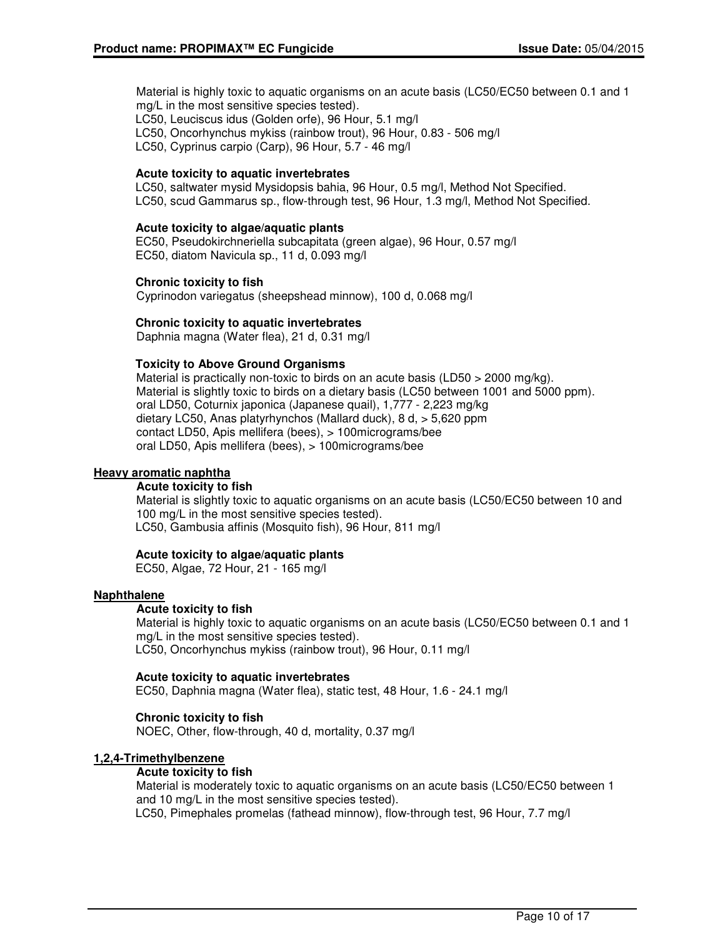Material is highly toxic to aquatic organisms on an acute basis (LC50/EC50 between 0.1 and 1 mg/L in the most sensitive species tested). LC50, Leuciscus idus (Golden orfe), 96 Hour, 5.1 mg/l LC50, Oncorhynchus mykiss (rainbow trout), 96 Hour, 0.83 - 506 mg/l

LC50, Cyprinus carpio (Carp), 96 Hour, 5.7 - 46 mg/l

#### **Acute toxicity to aquatic invertebrates**

LC50, saltwater mysid Mysidopsis bahia, 96 Hour, 0.5 mg/l, Method Not Specified. LC50, scud Gammarus sp., flow-through test, 96 Hour, 1.3 mg/l, Method Not Specified.

#### **Acute toxicity to algae/aquatic plants**

EC50, Pseudokirchneriella subcapitata (green algae), 96 Hour, 0.57 mg/l EC50, diatom Navicula sp., 11 d, 0.093 mg/l

#### **Chronic toxicity to fish**

Cyprinodon variegatus (sheepshead minnow), 100 d, 0.068 mg/l

#### **Chronic toxicity to aquatic invertebrates**

Daphnia magna (Water flea), 21 d, 0.31 mg/l

#### **Toxicity to Above Ground Organisms**

Material is practically non-toxic to birds on an acute basis (LD50  $>$  2000 mg/kg). Material is slightly toxic to birds on a dietary basis (LC50 between 1001 and 5000 ppm). oral LD50, Coturnix japonica (Japanese quail), 1,777 - 2,223 mg/kg dietary LC50, Anas platyrhynchos (Mallard duck), 8 d, > 5,620 ppm contact LD50, Apis mellifera (bees), > 100micrograms/bee oral LD50, Apis mellifera (bees), > 100micrograms/bee

#### **Heavy aromatic naphtha**

#### **Acute toxicity to fish**

Material is slightly toxic to aquatic organisms on an acute basis (LC50/EC50 between 10 and 100 mg/L in the most sensitive species tested). LC50, Gambusia affinis (Mosquito fish), 96 Hour, 811 mg/l

#### **Acute toxicity to algae/aquatic plants**

EC50, Algae, 72 Hour, 21 - 165 mg/l

#### **Naphthalene**

#### **Acute toxicity to fish**

Material is highly toxic to aquatic organisms on an acute basis (LC50/EC50 between 0.1 and 1 mg/L in the most sensitive species tested). LC50, Oncorhynchus mykiss (rainbow trout), 96 Hour, 0.11 mg/l

#### **Acute toxicity to aquatic invertebrates**

EC50, Daphnia magna (Water flea), static test, 48 Hour, 1.6 - 24.1 mg/l

#### **Chronic toxicity to fish**

NOEC, Other, flow-through, 40 d, mortality, 0.37 mg/l

#### **1,2,4-Trimethylbenzene**

#### **Acute toxicity to fish**

Material is moderately toxic to aquatic organisms on an acute basis (LC50/EC50 between 1 and 10 mg/L in the most sensitive species tested).

LC50, Pimephales promelas (fathead minnow), flow-through test, 96 Hour, 7.7 mg/l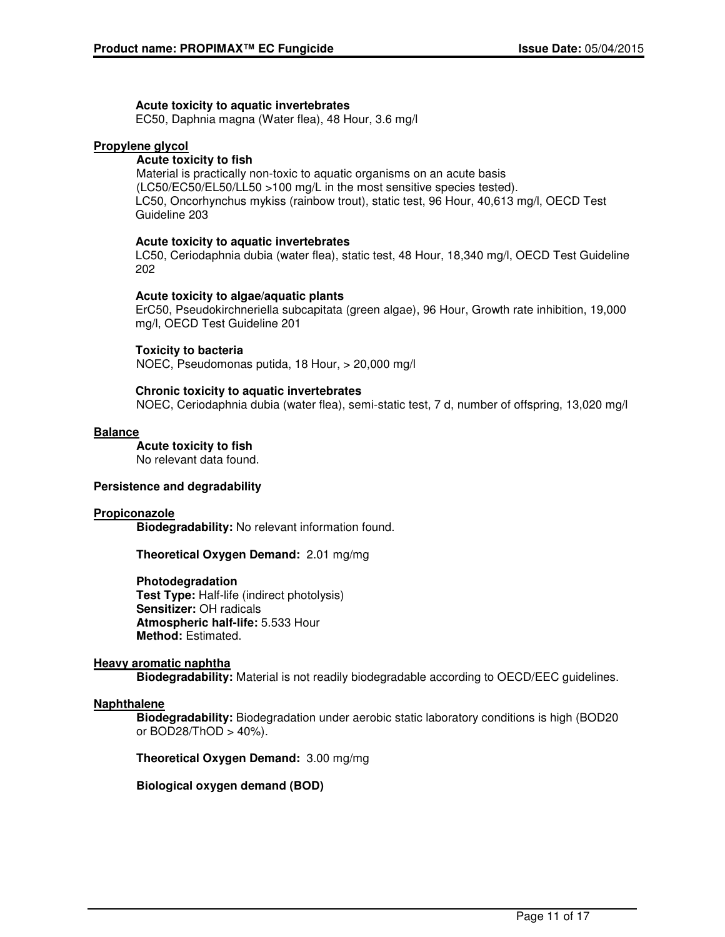#### **Acute toxicity to aquatic invertebrates**

EC50, Daphnia magna (Water flea), 48 Hour, 3.6 mg/l

#### **Propylene glycol**

#### **Acute toxicity to fish**

Material is practically non-toxic to aquatic organisms on an acute basis (LC50/EC50/EL50/LL50 >100 mg/L in the most sensitive species tested). LC50, Oncorhynchus mykiss (rainbow trout), static test, 96 Hour, 40,613 mg/l, OECD Test Guideline 203

#### **Acute toxicity to aquatic invertebrates**

LC50, Ceriodaphnia dubia (water flea), static test, 48 Hour, 18,340 mg/l, OECD Test Guideline 202

#### **Acute toxicity to algae/aquatic plants**

ErC50, Pseudokirchneriella subcapitata (green algae), 96 Hour, Growth rate inhibition, 19,000 mg/l, OECD Test Guideline 201

#### **Toxicity to bacteria**

NOEC, Pseudomonas putida, 18 Hour, > 20,000 mg/l

#### **Chronic toxicity to aquatic invertebrates**

NOEC, Ceriodaphnia dubia (water flea), semi-static test, 7 d, number of offspring, 13,020 mg/l

#### **Balance**

**Acute toxicity to fish** No relevant data found.

#### **Persistence and degradability**

#### **Propiconazole**

**Biodegradability:** No relevant information found.

**Theoretical Oxygen Demand:** 2.01 mg/mg

#### **Photodegradation**

**Test Type:** Half-life (indirect photolysis) **Sensitizer:** OH radicals **Atmospheric half-life:** 5.533 Hour **Method:** Estimated.

#### **Heavy aromatic naphtha**

**Biodegradability:** Material is not readily biodegradable according to OECD/EEC guidelines.

#### **Naphthalene**

**Biodegradability:** Biodegradation under aerobic static laboratory conditions is high (BOD20 or BOD28/ThOD > 40%).

**Theoretical Oxygen Demand:** 3.00 mg/mg

**Biological oxygen demand (BOD)**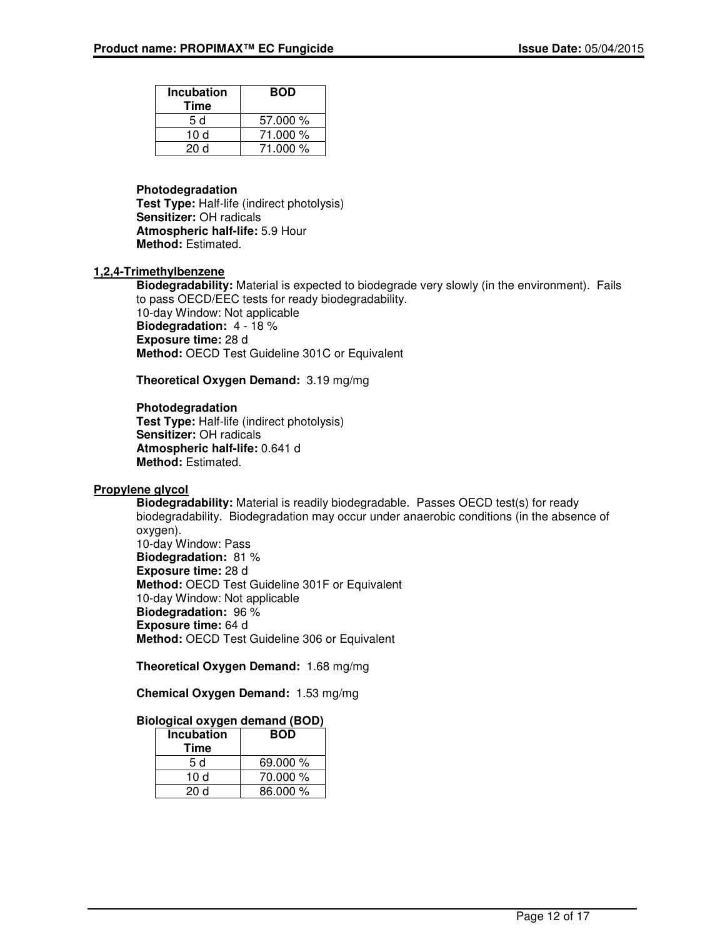| <b>Incubation</b><br>Time | <b>BOD</b> |
|---------------------------|------------|
| 5 d                       | 57.000 %   |
| 10d                       | 71.000 %   |
| 20d                       | 71.000 %   |

#### **Photodegradation**

**Test Type:** Half-life (indirect photolysis) **Sensitizer:** OH radicals **Atmospheric half-life:** 5.9 Hour **Method:** Estimated.

### **1,2,4-Trimethylbenzene**

**Biodegradability:** Material is expected to biodegrade very slowly (in the environment). Fails to pass OECD/EEC tests for ready biodegradability. 10-day Window: Not applicable **Biodegradation:** 4 - 18 % **Exposure time:** 28 d **Method:** OECD Test Guideline 301C or Equivalent

**Theoretical Oxygen Demand:** 3.19 mg/mg

#### **Photodegradation**

**Test Type:** Half-life (indirect photolysis) **Sensitizer:** OH radicals **Atmospheric half-life:** 0.641 d **Method:** Estimated.

#### **Propylene glycol**

**Biodegradability:** Material is readily biodegradable. Passes OECD test(s) for ready biodegradability. Biodegradation may occur under anaerobic conditions (in the absence of oxygen). 10-day Window: Pass **Biodegradation:** 81 % **Exposure time:** 28 d **Method:** OECD Test Guideline 301F or Equivalent 10-day Window: Not applicable **Biodegradation:** 96 % **Exposure time:** 64 d **Method:** OECD Test Guideline 306 or Equivalent

**Theoretical Oxygen Demand:** 1.68 mg/mg

**Chemical Oxygen Demand:** 1.53 mg/mg

## **Biological oxygen demand (BOD)**

| <b>Incubation</b><br>Time | <b>BOD</b> |
|---------------------------|------------|
| 5 d                       | 69.000 %   |
| 10 d                      | 70.000 %   |
| 20 d                      | 86.000 %   |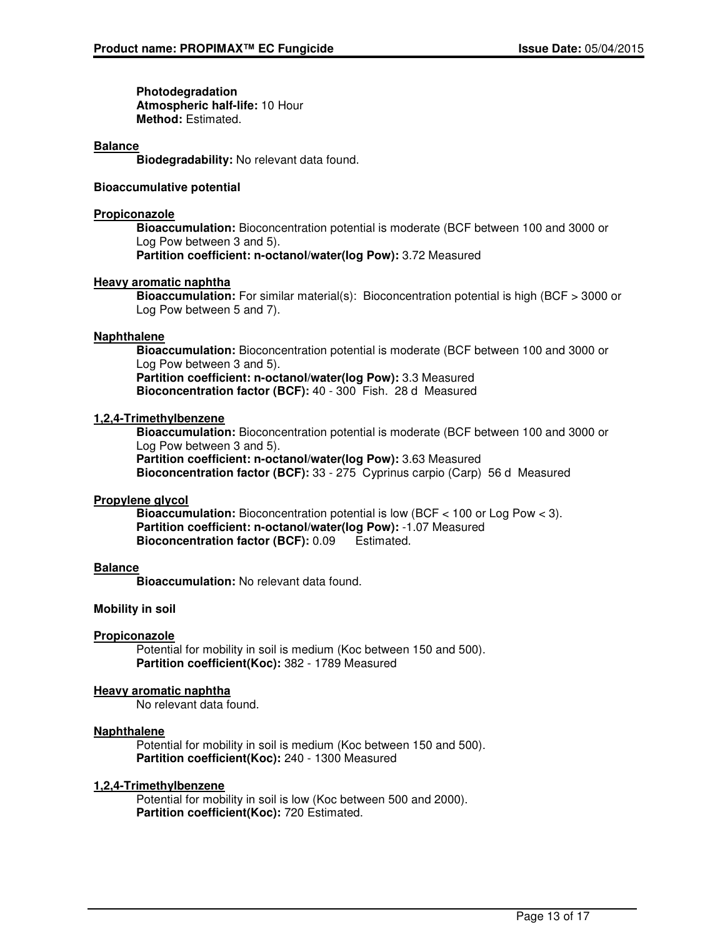**Photodegradation Atmospheric half-life:** 10 Hour **Method:** Estimated.

#### **Balance**

**Biodegradability:** No relevant data found.

#### **Bioaccumulative potential**

#### **Propiconazole**

**Bioaccumulation:** Bioconcentration potential is moderate (BCF between 100 and 3000 or Log Pow between 3 and 5). **Partition coefficient: n-octanol/water(log Pow):** 3.72 Measured

#### **Heavy aromatic naphtha**

**Bioaccumulation:** For similar material(s): Bioconcentration potential is high (BCF > 3000 or Log Pow between 5 and 7).

#### **Naphthalene**

**Bioaccumulation:** Bioconcentration potential is moderate (BCF between 100 and 3000 or Log Pow between 3 and 5).

**Partition coefficient: n-octanol/water(log Pow):** 3.3 Measured **Bioconcentration factor (BCF):** 40 - 300 Fish. 28 d Measured

#### **1,2,4-Trimethylbenzene**

**Bioaccumulation:** Bioconcentration potential is moderate (BCF between 100 and 3000 or Log Pow between 3 and 5).

**Partition coefficient: n-octanol/water(log Pow):** 3.63 Measured **Bioconcentration factor (BCF):** 33 - 275 Cyprinus carpio (Carp) 56 d Measured

#### **Propylene glycol**

**Bioaccumulation:** Bioconcentration potential is low (BCF < 100 or Log Pow < 3). **Partition coefficient: n-octanol/water(log Pow):** -1.07 Measured **Bioconcentration factor (BCF):** 0.09 Estimated.

#### **Balance**

**Bioaccumulation:** No relevant data found.

#### **Mobility in soil**

#### **Propiconazole**

Potential for mobility in soil is medium (Koc between 150 and 500). **Partition coefficient(Koc):** 382 - 1789 Measured

#### **Heavy aromatic naphtha**

No relevant data found.

#### **Naphthalene**

Potential for mobility in soil is medium (Koc between 150 and 500). **Partition coefficient(Koc):** 240 - 1300 Measured

#### **1,2,4-Trimethylbenzene**

Potential for mobility in soil is low (Koc between 500 and 2000). **Partition coefficient(Koc):** 720 Estimated.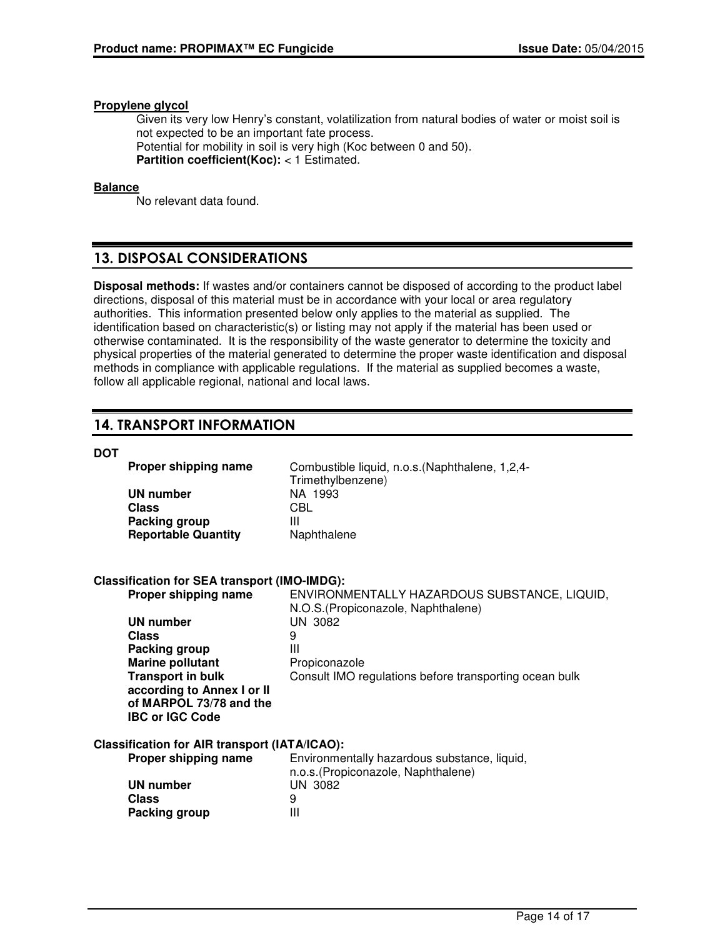### **Propylene glycol**

Given its very low Henry's constant, volatilization from natural bodies of water or moist soil is not expected to be an important fate process. Potential for mobility in soil is very high (Koc between 0 and 50). **Partition coefficient(Koc):** < 1 Estimated.

### **Balance**

No relevant data found.

# 13. DISPOSAL CONSIDERATIONS

**Disposal methods:** If wastes and/or containers cannot be disposed of according to the product label directions, disposal of this material must be in accordance with your local or area regulatory authorities. This information presented below only applies to the material as supplied. The identification based on characteristic(s) or listing may not apply if the material has been used or otherwise contaminated. It is the responsibility of the waste generator to determine the toxicity and physical properties of the material generated to determine the proper waste identification and disposal methods in compliance with applicable regulations. If the material as supplied becomes a waste, follow all applicable regional, national and local laws.

# 14. TRANSPORT INFORMATION

## **DOT**

| Proper shipping name                   | Combustible liquid, n.o.s. (Naphthalene, 1,2,4- |
|----------------------------------------|-------------------------------------------------|
| UN number                              | Trimethylbenzene)<br>NA 1993                    |
|                                        |                                                 |
| Class                                  | <b>CBL</b>                                      |
| Packing group                          | Ш                                               |
| <b>Reportable Quantity</b>             | Naphthalene                                     |
| fication for SEA transport (IMO-IMDG): |                                                 |

# **Classification for SE**

**Packing group III** 

| Proper shipping name                                 | ENVIRONMENTALLY HAZARDOUS SUBSTANCE, LIQUID,<br>N.O.S. (Propiconazole, Naphthalene) |
|------------------------------------------------------|-------------------------------------------------------------------------------------|
| <b>UN number</b>                                     | UN 3082                                                                             |
| <b>Class</b>                                         | 9                                                                                   |
| Packing group                                        | Ш                                                                                   |
| <b>Marine pollutant</b>                              | Propiconazole                                                                       |
| <b>Transport in bulk</b>                             | Consult IMO regulations before transporting ocean bulk                              |
| according to Annex I or II                           |                                                                                     |
| of MARPOL 73/78 and the                              |                                                                                     |
| <b>IBC or IGC Code</b>                               |                                                                                     |
| <b>Classification for AIR transport (IATA/ICAO):</b> |                                                                                     |
| Proper shipping name                                 | Environmentally hazardous substance, liquid,                                        |
|                                                      | n.o.s. (Propiconazole, Naphthalene)                                                 |
| <b>UN number</b>                                     | UN 3082                                                                             |
| <b>Class</b>                                         | 9                                                                                   |
|                                                      |                                                                                     |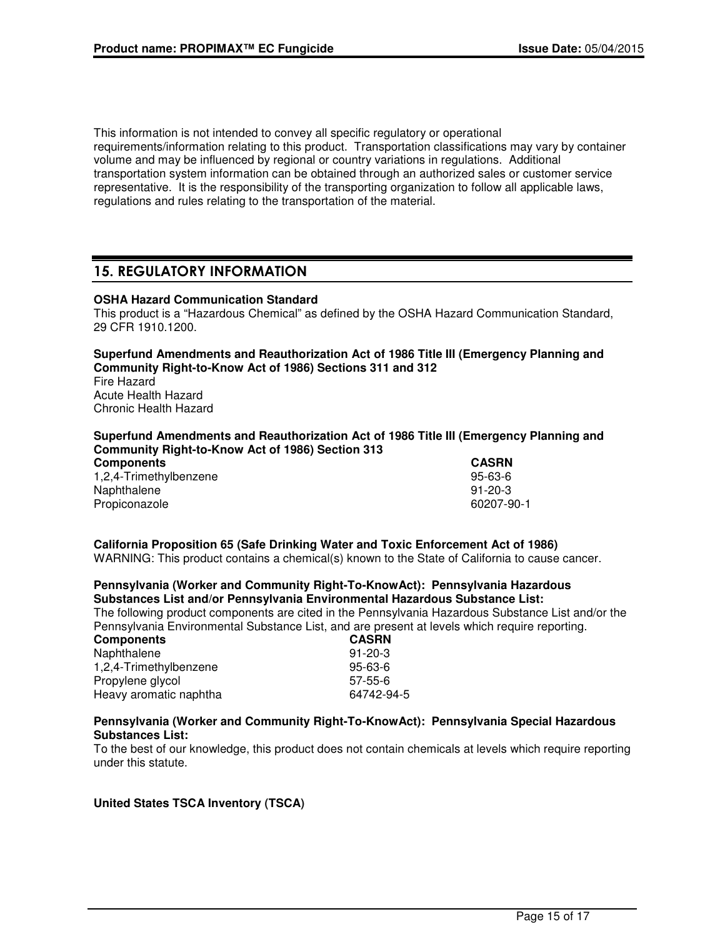This information is not intended to convey all specific regulatory or operational requirements/information relating to this product. Transportation classifications may vary by container volume and may be influenced by regional or country variations in regulations. Additional transportation system information can be obtained through an authorized sales or customer service representative. It is the responsibility of the transporting organization to follow all applicable laws, regulations and rules relating to the transportation of the material.

# 15. REGULATORY INFORMATION

## **OSHA Hazard Communication Standard**

This product is a "Hazardous Chemical" as defined by the OSHA Hazard Communication Standard, 29 CFR 1910.1200.

## **Superfund Amendments and Reauthorization Act of 1986 Title III (Emergency Planning and Community Right-to-Know Act of 1986) Sections 311 and 312**

Fire Hazard Acute Health Hazard Chronic Health Hazard

#### **Superfund Amendments and Reauthorization Act of 1986 Title III (Emergency Planning and Community Right-to-Know Act of 1986) Section 313**

| <b>Components</b>      | <b>CASRN</b> |
|------------------------|--------------|
| 1,2,4-Trimethylbenzene | 95-63-6      |
| Naphthalene            | 91-20-3      |
| Propiconazole          | 60207-90-1   |

# **California Proposition 65 (Safe Drinking Water and Toxic Enforcement Act of 1986)**

WARNING: This product contains a chemical(s) known to the State of California to cause cancer.

#### **Pennsylvania (Worker and Community Right-To-KnowAct): Pennsylvania Hazardous Substances List and/or Pennsylvania Environmental Hazardous Substance List:**

The following product components are cited in the Pennsylvania Hazardous Substance List and/or the Pennsylvania Environmental Substance List, and are present at levels which require reporting.

| <b>Components</b>      | <b>CASRN</b>  |
|------------------------|---------------|
| Naphthalene            | $91 - 20 - 3$ |
| 1,2,4-Trimethylbenzene | 95-63-6       |
| Propylene glycol       | $57-55-6$     |
| Heavy aromatic naphtha | 64742-94-5    |

#### **Pennsylvania (Worker and Community Right-To-KnowAct): Pennsylvania Special Hazardous Substances List:**

To the best of our knowledge, this product does not contain chemicals at levels which require reporting under this statute.

#### **United States TSCA Inventory (TSCA)**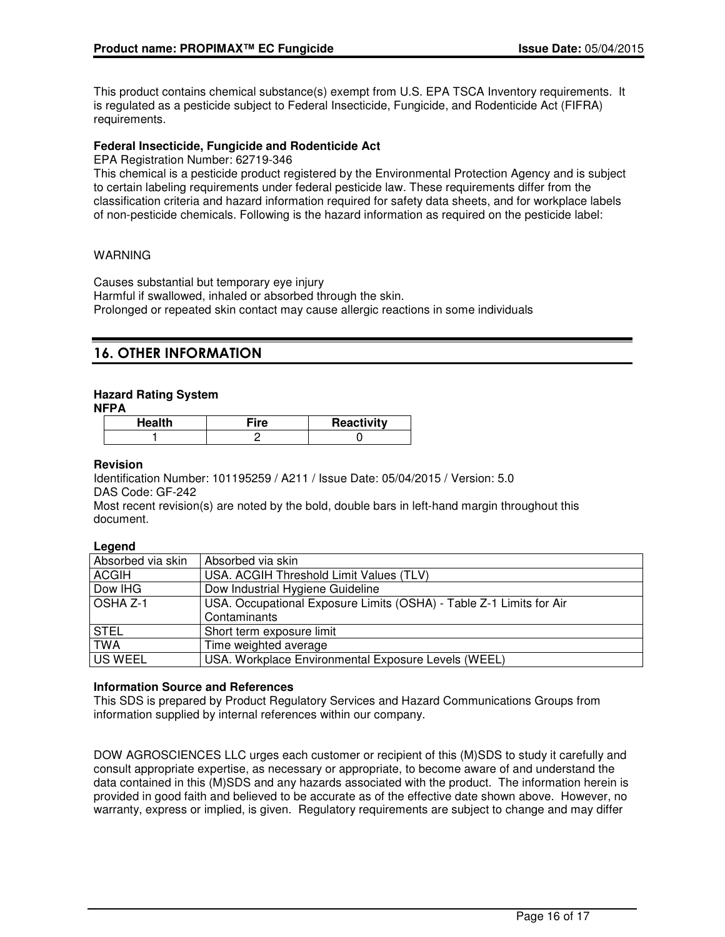This product contains chemical substance(s) exempt from U.S. EPA TSCA Inventory requirements. It is regulated as a pesticide subject to Federal Insecticide, Fungicide, and Rodenticide Act (FIFRA) requirements.

# **Federal Insecticide, Fungicide and Rodenticide Act**

EPA Registration Number: 62719-346

This chemical is a pesticide product registered by the Environmental Protection Agency and is subject to certain labeling requirements under federal pesticide law. These requirements differ from the classification criteria and hazard information required for safety data sheets, and for workplace labels of non-pesticide chemicals. Following is the hazard information as required on the pesticide label:

# WARNING

Causes substantial but temporary eye injury Harmful if swallowed, inhaled or absorbed through the skin. Prolonged or repeated skin contact may cause allergic reactions in some individuals

# 16. OTHER INFORMATION

# **Hazard Rating System**

**NFPA**

| Health | Reactivity |
|--------|------------|
|        |            |

# **Revision**

Identification Number: 101195259 / A211 / Issue Date: 05/04/2015 / Version: 5.0 DAS Code: GF-242

Most recent revision(s) are noted by the bold, double bars in left-hand margin throughout this document.

# **Legend**

| Absorbed via skin | Absorbed via skin                                                   |
|-------------------|---------------------------------------------------------------------|
| ACGIH             | USA. ACGIH Threshold Limit Values (TLV)                             |
| Dow IHG           | Dow Industrial Hygiene Guideline                                    |
| l OSHA Z-1        | USA. Occupational Exposure Limits (OSHA) - Table Z-1 Limits for Air |
|                   | Contaminants                                                        |
| <b>STEL</b>       | Short term exposure limit                                           |
| <b>TWA</b>        | Time weighted average                                               |
| US WEEL           | USA. Workplace Environmental Exposure Levels (WEEL)                 |

# **Information Source and References**

This SDS is prepared by Product Regulatory Services and Hazard Communications Groups from information supplied by internal references within our company.

DOW AGROSCIENCES LLC urges each customer or recipient of this (M)SDS to study it carefully and consult appropriate expertise, as necessary or appropriate, to become aware of and understand the data contained in this (M)SDS and any hazards associated with the product. The information herein is provided in good faith and believed to be accurate as of the effective date shown above. However, no warranty, express or implied, is given. Regulatory requirements are subject to change and may differ